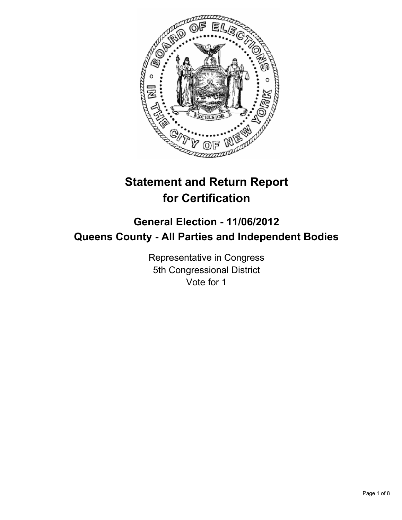

# **Statement and Return Report for Certification**

# **General Election - 11/06/2012 Queens County - All Parties and Independent Bodies**

Representative in Congress 5th Congressional District Vote for 1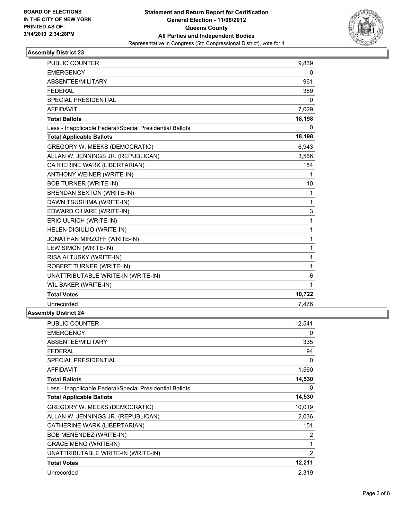

| <b>PUBLIC COUNTER</b>                                    | 9,839        |
|----------------------------------------------------------|--------------|
| <b>EMERGENCY</b>                                         | 0            |
| ABSENTEE/MILITARY                                        | 961          |
| <b>FFDFRAI</b>                                           | 369          |
| <b>SPECIAL PRESIDENTIAL</b>                              | 0            |
| <b>AFFIDAVIT</b>                                         | 7,029        |
| <b>Total Ballots</b>                                     | 18,198       |
| Less - Inapplicable Federal/Special Presidential Ballots | 0            |
| <b>Total Applicable Ballots</b>                          | 18,198       |
| <b>GREGORY W. MEEKS (DEMOCRATIC)</b>                     | 6,943        |
| ALLAN W. JENNINGS JR. (REPUBLICAN)                       | 3,566        |
| CATHERINE WARK (LIBERTARIAN)                             | 184          |
| ANTHONY WEINER (WRITE-IN)                                | 1            |
| <b>BOB TURNER (WRITE-IN)</b>                             | 10           |
| <b>BRENDAN SEXTON (WRITE-IN)</b>                         | $\mathbf{1}$ |
| DAWN TSUSHIMA (WRITE-IN)                                 | $\mathbf{1}$ |
| EDWARD O'HARE (WRITE-IN)                                 | 3            |
| ERIC ULRICH (WRITE-IN)                                   | 1            |
| HELEN DIGIULIO (WRITE-IN)                                | $\mathbf{1}$ |
| JONATHAN MIRZOFF (WRITE-IN)                              | $\mathbf{1}$ |
| LEW SIMON (WRITE-IN)                                     | 1            |
| RISA ALTUSKY (WRITE-IN)                                  | 1            |
| <b>ROBERT TURNER (WRITE-IN)</b>                          | 1            |
| UNATTRIBUTABLE WRITE-IN (WRITE-IN)                       | 6            |
| WIL BAKER (WRITE-IN)                                     | $\mathbf{1}$ |
| <b>Total Votes</b>                                       | 10,722       |
| Unrecorded                                               | 7,476        |
| <b>Assembly District 24</b>                              |              |

| 0<br>335<br>94 |
|----------------|
|                |
|                |
|                |
| 0              |
| 1,560          |
| 14,530         |
| 0              |
| 14,530         |
| 10,019         |
| 2,036          |
| 151            |
| 2              |
| 1              |
| $\overline{2}$ |
| 12,211         |
| 2,319          |
|                |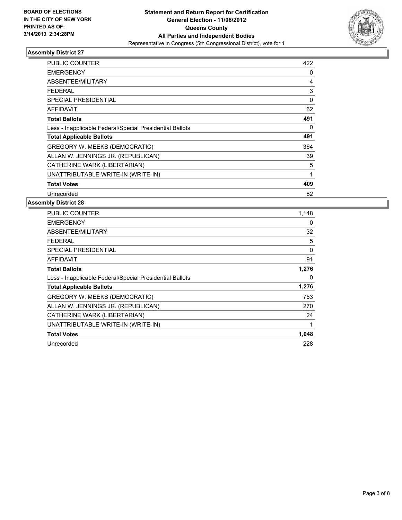

| PUBLIC COUNTER                                           | 422 |
|----------------------------------------------------------|-----|
| <b>EMERGENCY</b>                                         | 0   |
| <b>ABSENTEE/MILITARY</b>                                 | 4   |
| FEDERAL                                                  | 3   |
| <b>SPECIAL PRESIDENTIAL</b>                              | 0   |
| <b>AFFIDAVIT</b>                                         | 62  |
| <b>Total Ballots</b>                                     | 491 |
| Less - Inapplicable Federal/Special Presidential Ballots | 0   |
| <b>Total Applicable Ballots</b>                          | 491 |
| <b>GREGORY W. MEEKS (DEMOCRATIC)</b>                     | 364 |
| ALLAN W. JENNINGS JR. (REPUBLICAN)                       | 39  |
| CATHERINE WARK (LIBERTARIAN)                             | 5   |
| UNATTRIBUTABLE WRITE-IN (WRITE-IN)                       | 1   |
| <b>Total Votes</b>                                       | 409 |
| Unrecorded                                               | 82  |

| <b>PUBLIC COUNTER</b>                                    | 1,148 |
|----------------------------------------------------------|-------|
| <b>EMERGENCY</b>                                         | 0     |
| ABSENTEE/MILITARY                                        | 32    |
| FEDERAL                                                  | 5     |
| SPECIAL PRESIDENTIAL                                     | 0     |
| <b>AFFIDAVIT</b>                                         | 91    |
| <b>Total Ballots</b>                                     | 1,276 |
| Less - Inapplicable Federal/Special Presidential Ballots | 0     |
| <b>Total Applicable Ballots</b>                          | 1,276 |
| GREGORY W. MEEKS (DEMOCRATIC)                            | 753   |
| ALLAN W. JENNINGS JR. (REPUBLICAN)                       | 270   |
| CATHERINE WARK (LIBERTARIAN)                             | 24    |
| UNATTRIBUTABLE WRITE-IN (WRITE-IN)                       | 1     |
| <b>Total Votes</b>                                       | 1,048 |
| Unrecorded                                               | 228   |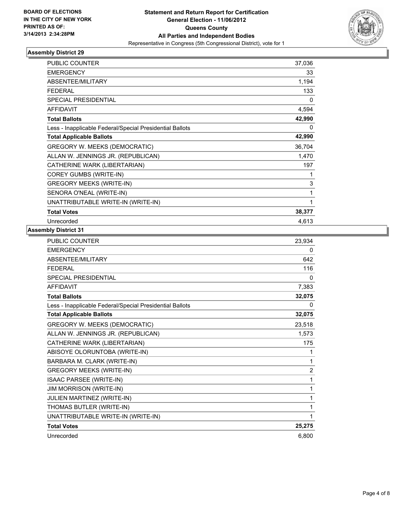

| PUBLIC COUNTER                                           | 37,036       |
|----------------------------------------------------------|--------------|
| <b>EMERGENCY</b>                                         | 33           |
| ABSENTEE/MILITARY                                        | 1,194        |
| <b>FEDERAL</b>                                           | 133          |
| <b>SPECIAL PRESIDENTIAL</b>                              | $\mathbf{0}$ |
| <b>AFFIDAVIT</b>                                         | 4,594        |
| <b>Total Ballots</b>                                     | 42,990       |
| Less - Inapplicable Federal/Special Presidential Ballots | 0            |
| <b>Total Applicable Ballots</b>                          | 42,990       |
| GREGORY W. MEEKS (DEMOCRATIC)                            | 36,704       |
| ALLAN W. JENNINGS JR. (REPUBLICAN)                       | 1,470        |
| CATHERINE WARK (LIBERTARIAN)                             | 197          |
| COREY GUMBS (WRITE-IN)                                   | 1            |
| <b>GREGORY MEEKS (WRITE-IN)</b>                          | 3            |
| SENORA O'NEAL (WRITE-IN)                                 | 1            |
| UNATTRIBUTABLE WRITE-IN (WRITE-IN)                       | 1            |
| <b>Total Votes</b>                                       | 38,377       |
| Unrecorded                                               | 4,613        |

| <b>PUBLIC COUNTER</b>                                    | 23,934         |
|----------------------------------------------------------|----------------|
| <b>EMERGENCY</b>                                         | 0              |
| ABSENTEE/MILITARY                                        | 642            |
| <b>FEDERAL</b>                                           | 116            |
| <b>SPECIAL PRESIDENTIAL</b>                              | 0              |
| <b>AFFIDAVIT</b>                                         | 7,383          |
| <b>Total Ballots</b>                                     | 32,075         |
| Less - Inapplicable Federal/Special Presidential Ballots | 0              |
| <b>Total Applicable Ballots</b>                          | 32,075         |
| <b>GREGORY W. MEEKS (DEMOCRATIC)</b>                     | 23,518         |
| ALLAN W. JENNINGS JR. (REPUBLICAN)                       | 1,573          |
| CATHERINE WARK (LIBERTARIAN)                             | 175            |
| ABISOYE OLORUNTOBA (WRITE-IN)                            | 1              |
| BARBARA M. CLARK (WRITE-IN)                              | 1              |
| <b>GREGORY MEEKS (WRITE-IN)</b>                          | $\overline{2}$ |
| ISAAC PARSEE (WRITE-IN)                                  | 1              |
| <b>JIM MORRISON (WRITE-IN)</b>                           | 1              |
| JULIEN MARTINEZ (WRITE-IN)                               | 1              |
| THOMAS BUTLER (WRITE-IN)                                 | 1              |
| UNATTRIBUTABLE WRITE-IN (WRITE-IN)                       | 1              |
| <b>Total Votes</b>                                       | 25,275         |
| Unrecorded                                               | 6,800          |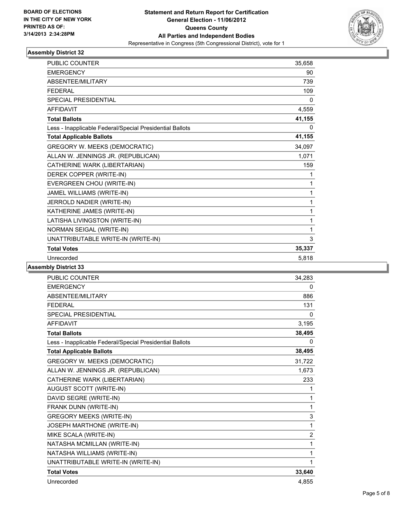

| PUBLIC COUNTER                                           | 35,658 |
|----------------------------------------------------------|--------|
| <b>EMERGENCY</b>                                         | 90     |
| ABSENTEE/MILITARY                                        | 739    |
| <b>FFDFRAI</b>                                           | 109    |
| <b>SPECIAL PRESIDENTIAL</b>                              | 0      |
| <b>AFFIDAVIT</b>                                         | 4,559  |
| <b>Total Ballots</b>                                     | 41,155 |
| Less - Inapplicable Federal/Special Presidential Ballots | 0      |
| <b>Total Applicable Ballots</b>                          | 41,155 |
| GREGORY W. MEEKS (DEMOCRATIC)                            | 34,097 |
| ALLAN W. JENNINGS JR. (REPUBLICAN)                       | 1,071  |
| CATHERINE WARK (LIBERTARIAN)                             | 159    |
| DEREK COPPER (WRITE-IN)                                  | 1      |
| EVERGREEN CHOU (WRITE-IN)                                | 1      |
| JAMEL WILLIAMS (WRITE-IN)                                | 1      |
| JERROLD NADIER (WRITE-IN)                                | 1      |
| KATHERINE JAMES (WRITE-IN)                               | 1      |
| LATISHA LIVINGSTON (WRITE-IN)                            | 1      |
| NORMAN SEIGAL (WRITE-IN)                                 | 1      |
| UNATTRIBUTABLE WRITE-IN (WRITE-IN)                       | 3      |
| <b>Total Votes</b>                                       | 35,337 |
| Unrecorded                                               | 5,818  |

| <b>PUBLIC COUNTER</b>                                    | 34,283 |
|----------------------------------------------------------|--------|
| <b>EMERGENCY</b>                                         | 0      |
| ABSENTEE/MILITARY                                        | 886    |
| <b>FEDERAL</b>                                           | 131    |
| <b>SPECIAL PRESIDENTIAL</b>                              | 0      |
| <b>AFFIDAVIT</b>                                         | 3,195  |
| <b>Total Ballots</b>                                     | 38,495 |
| Less - Inapplicable Federal/Special Presidential Ballots | 0      |
| <b>Total Applicable Ballots</b>                          | 38,495 |
| <b>GREGORY W. MEEKS (DEMOCRATIC)</b>                     | 31,722 |
| ALLAN W. JENNINGS JR. (REPUBLICAN)                       | 1,673  |
| CATHERINE WARK (LIBERTARIAN)                             | 233    |
| AUGUST SCOTT (WRITE-IN)                                  | 1      |
| DAVID SEGRE (WRITE-IN)                                   | 1      |
| FRANK DUNN (WRITE-IN)                                    | 1      |
| <b>GREGORY MEEKS (WRITE-IN)</b>                          | 3      |
| JOSEPH MARTHONE (WRITE-IN)                               | 1      |
| MIKE SCALA (WRITE-IN)                                    | 2      |
| NATASHA MCMILLAN (WRITE-IN)                              | 1      |
| NATASHA WILLIAMS (WRITE-IN)                              | 1      |
| UNATTRIBUTABLE WRITE-IN (WRITE-IN)                       | 1      |
| <b>Total Votes</b>                                       | 33,640 |
| Unrecorded                                               | 4.855  |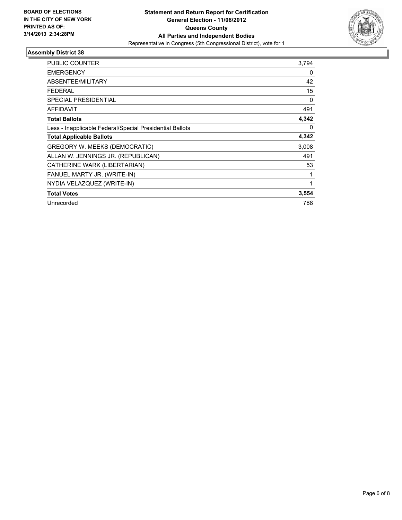

| <b>PUBLIC COUNTER</b>                                    | 3,794        |
|----------------------------------------------------------|--------------|
| <b>EMERGENCY</b>                                         | 0            |
| <b>ABSENTEE/MILITARY</b>                                 | 42           |
| FEDERAL                                                  | 15           |
| <b>SPECIAL PRESIDENTIAL</b>                              | 0            |
| <b>AFFIDAVIT</b>                                         | 491          |
| <b>Total Ballots</b>                                     | 4,342        |
| Less - Inapplicable Federal/Special Presidential Ballots | $\Omega$     |
| <b>Total Applicable Ballots</b>                          | 4,342        |
| GREGORY W. MEEKS (DEMOCRATIC)                            | 3,008        |
| ALLAN W. JENNINGS JR. (REPUBLICAN)                       | 491          |
| CATHERINE WARK (LIBERTARIAN)                             | 53           |
| FANUEL MARTY JR. (WRITE-IN)                              | $\mathbf{1}$ |
| NYDIA VELAZQUEZ (WRITE-IN)                               | 1            |
| <b>Total Votes</b>                                       | 3,554        |
| Unrecorded                                               | 788          |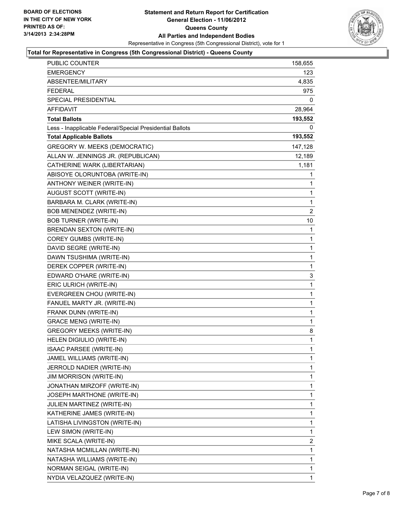

# **Total for Representative in Congress (5th Congressional District) - Queens County**

| <b>PUBLIC COUNTER</b>                                    | 158,655      |
|----------------------------------------------------------|--------------|
| EMERGENCY                                                | 123          |
| ABSENTEE/MILITARY                                        | 4,835        |
| <b>FEDERAL</b>                                           | 975          |
| SPECIAL PRESIDENTIAL                                     | 0            |
| AFFIDAVIT                                                | 28,964       |
| Total Ballots                                            | 193,552      |
| Less - Inapplicable Federal/Special Presidential Ballots | 0            |
| <b>Total Applicable Ballots</b>                          | 193,552      |
| <b>GREGORY W. MEEKS (DEMOCRATIC)</b>                     | 147,128      |
| ALLAN W. JENNINGS JR. (REPUBLICAN)                       | 12,189       |
| CATHERINE WARK (LIBERTARIAN)                             | 1,181        |
| ABISOYE OLORUNTOBA (WRITE-IN)                            | 1            |
| ANTHONY WEINER (WRITE-IN)                                | 1            |
| AUGUST SCOTT (WRITE-IN)                                  | 1            |
| BARBARA M. CLARK (WRITE-IN)                              | 1            |
| <b>BOB MENENDEZ (WRITE-IN)</b>                           | 2            |
| <b>BOB TURNER (WRITE-IN)</b>                             | 10           |
| BRENDAN SEXTON (WRITE-IN)                                | 1            |
| COREY GUMBS (WRITE-IN)                                   | $\mathbf{1}$ |
| DAVID SEGRE (WRITE-IN)                                   | 1            |
| DAWN TSUSHIMA (WRITE-IN)                                 | 1            |
| DEREK COPPER (WRITE-IN)                                  | 1            |
| EDWARD O'HARE (WRITE-IN)                                 | 3            |
| ERIC ULRICH (WRITE-IN)                                   | 1            |
| EVERGREEN CHOU (WRITE-IN)                                | $\mathbf{1}$ |
| FANUEL MARTY JR. (WRITE-IN)                              | 1            |
| FRANK DUNN (WRITE-IN)                                    | 1            |
| <b>GRACE MENG (WRITE-IN)</b>                             | 1            |
| <b>GREGORY MEEKS (WRITE-IN)</b>                          | 8            |
| HELEN DIGIULIO (WRITE-IN)                                | 1            |
| <b>ISAAC PARSEE (WRITE-IN)</b>                           | $\mathbf{1}$ |
| JAMEL WILLIAMS (WRITE-IN)                                | 1            |
| JERROLD NADIER (WRITE-IN)                                | 1            |
| <b>JIM MORRISON (WRITE-IN)</b>                           | 1            |
| JONATHAN MIRZOFF (WRITE-IN)                              | 1            |
| JOSEPH MARTHONE (WRITE-IN)                               | 1            |
| JULIEN MARTINEZ (WRITE-IN)                               | 1            |
| KATHERINE JAMES (WRITE-IN)                               | 1            |
| LATISHA LIVINGSTON (WRITE-IN)                            | 1            |
| LEW SIMON (WRITE-IN)                                     | 1            |
| MIKE SCALA (WRITE-IN)                                    | 2            |
| NATASHA MCMILLAN (WRITE-IN)                              | 1            |
| NATASHA WILLIAMS (WRITE-IN)                              | 1            |
| NORMAN SEIGAL (WRITE-IN)                                 | 1            |
| NYDIA VELAZQUEZ (WRITE-IN)                               | 1            |